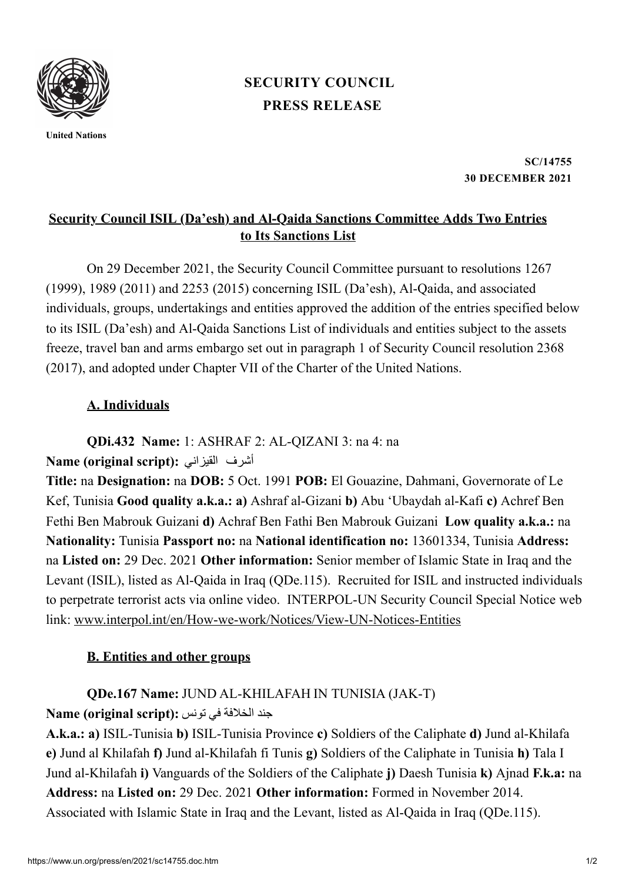

**United Nations**

# **PRESS [RELEASE](https://www.un.org/press/en/press-release) [SECURITY](https://www.un.org/press/en/security-council) COUNCIL**

**SC/14755 30 DECEMBER 2021**

## **Security Council ISIL (Da'esh) and Al-Qaida Sanctions Committee Adds Two Entries to Its Sanctions List**

On 29 December 2021, the Security Council Committee pursuant to resolutions 1267 (1999), 1989 (2011) and 2253 (2015) concerning ISIL (Da'esh), Al-Qaida, and associated individuals, groups, undertakings and entities approved the addition of the entries specified below to its ISIL (Da'esh) and Al-Qaida Sanctions List of individuals and entities subject to the assets freeze, travel ban and arms embargo set out in paragraph 1 of Security Council resolution 2368 (2017), and adopted under Chapter VII of the Charter of the United Nations.

#### **A. Individuals**

**QDi.432 Name:** 1: ASHRAF 2: AL-QIZANI 3: na 4: na

**Name (original script):** القيزاني أشرف

**Title:** na **Designation:** na **DOB:** 5 Oct. 1991 **POB:** El Gouazine, Dahmani, Governorate of Le Kef, Tunisia **Good quality a.k.a.: a)** Ashraf al-Gizani **b)** Abu 'Ubaydah al-Kafi **c)** Achref Ben Fethi Ben Mabrouk Guizani **d)** Achraf Ben Fathi Ben Mabrouk Guizani **Low quality a.k.a.:** na **Nationality:** Tunisia **Passport no:** na **National identification no:** 13601334, Tunisia **Address:** na **Listed on:** 29 Dec. 2021 **Other information:** Senior member of Islamic State in Iraq and the Levant (ISIL), listed as Al-Qaida in Iraq (QDe.115). Recruited for ISIL and instructed individuals to perpetrate terrorist acts via online video. INTERPOL-UN Security Council Special Notice web link: [www.interpol.int/en/How-we-work/Notices/View-UN-Notices-Entities](https://www.interpol.int/en/How-we-work/Notices/View-UN-Notices-Entities)

## **B. Entities and other groups**

## **QDe.167 Name:** JUND AL-KHILAFAH IN TUNISIA (JAK-T)

#### جند الخالفة في تونس **:(script original (Name**

**A.k.a.: a)** ISIL-Tunisia **b)** ISIL-Tunisia Province **c)** Soldiers of the Caliphate **d)** Jund al-Khilafa **e)** Jund al Khilafah **f)** Jund al-Khilafah fi Tunis **g)** Soldiers of the Caliphate in Tunisia **h)** Tala I Jund al-Khilafah **i)** Vanguards of the Soldiers of the Caliphate **j)** Daesh Tunisia **k)** Ajnad **F.k.a:** na **Address:** na **Listed on:** 29 Dec. 2021 **Other information:** Formed in November 2014. Associated with Islamic State in Iraq and the Levant, listed as Al-Qaida in Iraq (QDe.115).